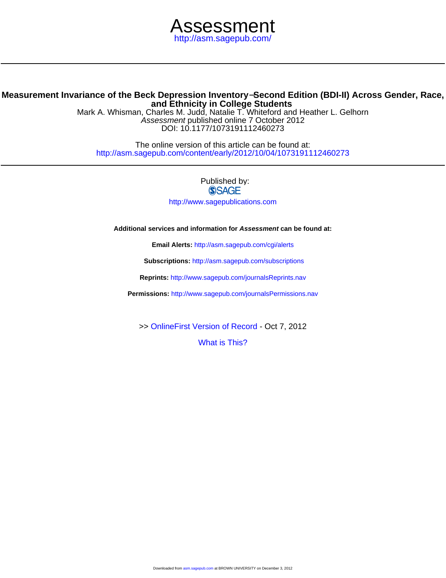

## **and Ethnicity in College Students Measurement Invariance of the Beck Depression Inventory**−**Second Edition (BDI-II) Across Gender, Race,**

DOI: 10.1177/1073191112460273 Assessment published online 7 October 2012 Mark A. Whisman, Charles M. Judd, Natalie T. Whiteford and Heather L. Gelhorn

<http://asm.sagepub.com/content/early/2012/10/04/1073191112460273> The online version of this article can be found at:

> Published by:<br>
> SAGE <http://www.sagepublications.com>

**Additional services and information for Assessment can be found at:**

**Email Alerts:** <http://asm.sagepub.com/cgi/alerts>

**Subscriptions:** <http://asm.sagepub.com/subscriptions>

**Reprints:** <http://www.sagepub.com/journalsReprints.nav>

**Permissions:** <http://www.sagepub.com/journalsPermissions.nav>

>> [OnlineFirst Version of Record -](http://asm.sagepub.com/content/early/2012/10/04/1073191112460273.full.pdf) Oct 7, 2012

[What is This?](http://online.sagepub.com/site/sphelp/vorhelp.xhtml)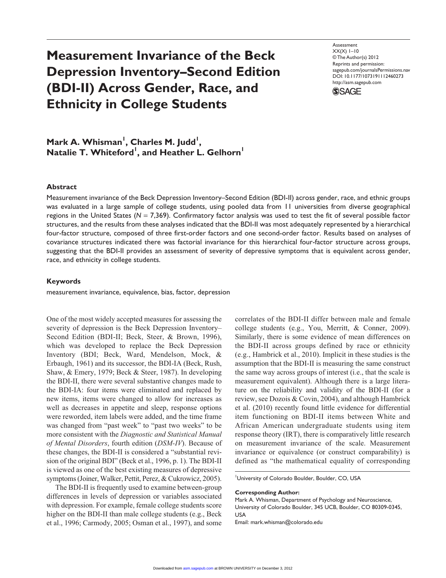# **Measurement Invariance of the Beck Depression Inventory–Second Edition (BDI-II) Across Gender, Race, and Ethnicity in College Students**

Assessment XX(X) 1–10 © The Author(s) 2012 Reprints and permission: sagepub.com/journalsPermissions.nav DOI: 10.1177/1073191112460273 http://asm.sagepub.com



**Mark A. Whisman<sup>1</sup>, Charles M. Judd<sup>1</sup>, Natalie T. Whiteford<sup>1</sup>, and Heather L. Gelhorn<sup>1</sup>** 

#### **Abstract**

Measurement invariance of the Beck Depression Inventory–Second Edition (BDI-II) across gender, race, and ethnic groups was evaluated in a large sample of college students, using pooled data from 11 universities from diverse geographical regions in the United States (*N* = 7,369). Confirmatory factor analysis was used to test the fit of several possible factor structures, and the results from these analyses indicated that the BDI-II was most adequately represented by a hierarchical four-factor structure, composed of three first-order factors and one second-order factor. Results based on analyses of covariance structures indicated there was factorial invariance for this hierarchical four-factor structure across groups, suggesting that the BDI-II provides an assessment of severity of depressive symptoms that is equivalent across gender, race, and ethnicity in college students.

#### **Keywords**

measurement invariance, equivalence, bias, factor, depression

One of the most widely accepted measures for assessing the severity of depression is the Beck Depression Inventory– Second Edition (BDI-II; Beck, Steer, & Brown, 1996), which was developed to replace the Beck Depression Inventory (BDI; Beck, Ward, Mendelson, Mock, & Erbaugh, 1961) and its successor, the BDI-IA (Beck, Rush, Shaw, & Emery, 1979; Beck & Steer, 1987). In developing the BDI-II, there were several substantive changes made to the BDI-IA: four items were eliminated and replaced by new items, items were changed to allow for increases as well as decreases in appetite and sleep, response options were reworded, item labels were added, and the time frame was changed from "past week" to "past two weeks" to be more consistent with the *Diagnostic and Statistical Manual of Mental Disorders*, fourth edition (*DSM-IV*). Because of these changes, the BDI-II is considered a "substantial revision of the original BDI" (Beck et al., 1996, p. 1). The BDI-II is viewed as one of the best existing measures of depressive symptoms (Joiner, Walker, Pettit, Perez, & Cukrowicz, 2005).

The BDI-II is frequently used to examine between-group differences in levels of depression or variables associated with depression. For example, female college students score higher on the BDI-II than male college students (e.g., Beck et al., 1996; Carmody, 2005; Osman et al., 1997), and some correlates of the BDI-II differ between male and female college students (e.g., You, Merritt, & Conner, 2009). Similarly, there is some evidence of mean differences on the BDI-II across groups defined by race or ethnicity (e.g., Hambrick et al., 2010). Implicit in these studies is the assumption that the BDI-II is measuring the same construct the same way across groups of interest (i.e., that the scale is measurement equivalent). Although there is a large literature on the reliability and validity of the BDI-II (for a review, see Dozois & Covin, 2004), and although Hambrick et al. (2010) recently found little evidence for differential item functioning on BDI-II items between White and African American undergraduate students using item response theory (IRT), there is comparatively little research on measurement invariance of the scale. Measurement invariance or equivalence (or construct comparability) is defined as "the mathematical equality of corresponding

University of Colorado Boulder, Boulder, CO, USA

#### **Corresponding Author:**

Mark A. Whisman, Department of Psychology and Neuroscience, University of Colorado Boulder, 345 UCB, Boulder, CO 80309-0345, USA

Email: mark.whisman@colorado.edu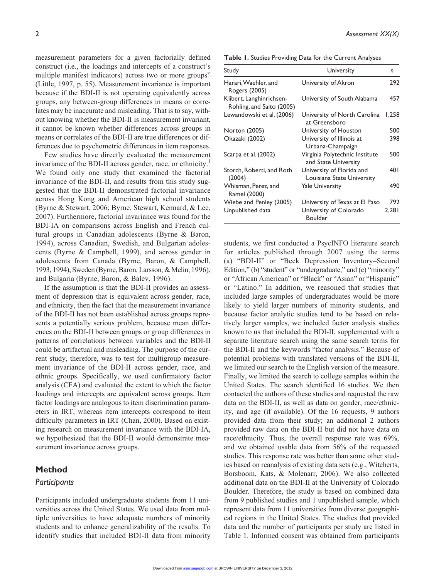measurement parameters for a given factorially defined construct (i.e., the loadings and intercepts of a construct's multiple manifest indicators) across two or more groups" (Little, 1997, p. 55). Measurement invariance is important because if the BDI-II is not operating equivalently across groups, any between-group differences in means or correlates may be inaccurate and misleading. That is to say, without knowing whether the BDI-II is measurement invariant, it cannot be known whether differences across groups in means or correlates of the BDI-II are true differences or differences due to psychometric differences in item responses.

Few studies have directly evaluated the measurement invariance of the BDI-II across gender, race, or ethnicity.<sup>1</sup> We found only one study that examined the factorial invariance of the BDI-II, and results from this study suggested that the BDI-II demonstrated factorial invariance across Hong Kong and American high school students (Byrne & Stewart, 2006; Byrne, Stewart, Kennard, & Lee, 2007). Furthermore, factorial invariance was found for the BDI-IA on comparisons across English and French cultural groups in Canadian adolescents (Byrne & Baron, 1994), across Canadian, Swedish, and Bulgarian adolescents (Byrne & Campbell, 1999), and across gender in adolescents from Canada (Byrne, Baron, & Campbell, 1993, 1994), Sweden (Byrne, Baron, Larsson, & Melin, 1996), and Bulgaria (Byrne, Baron, & Balev, 1996).

If the assumption is that the BDI-II provides an assessment of depression that is equivalent across gender, race, and ethnicity, then the fact that the measurement invariance of the BDI-II has not been established across groups represents a potentially serious problem, because mean differences on the BDI-II between groups or group differences in patterns of correlations between variables and the BDI-II could be artifactual and misleading. The purpose of the current study, therefore, was to test for multigroup measurement invariance of the BDI-II across gender, race, and ethnic groups. Specifically, we used confirmatory factor analysis (CFA) and evaluated the extent to which the factor loadings and intercepts are equivalent across groups. Item factor loadings are analogous to item discrimination parameters in IRT, whereas item intercepts correspond to item difficulty parameters in IRT (Chan, 2000). Based on existing research on measurement invariance with the BDI-IA, we hypothesized that the BDI-II would demonstrate measurement invariance across groups.

## **Method**

## *Participants*

Participants included undergraduate students from 11 universities across the United States. We used data from multiple universities to have adequate numbers of minority students and to enhance generalizability of the results. To identify studies that included BDI-II data from minority **Table 1.** Studies Providing Data for the Current Analyses

| Study                                                 | University                                              | n     |
|-------------------------------------------------------|---------------------------------------------------------|-------|
| Harari, Waehler, and<br>Rogers (2005)                 | University of Akron                                     | 292   |
| Klibert, Langhinrichsen-<br>Rohling, and Saito (2005) | University of South Alabama                             | 457   |
| Lewandowski et al. (2006)                             | University of North Carolina<br>at Greensboro           | 1,258 |
| Norton (2005)                                         | University of Houston                                   | 500   |
| Okazaki (2002)                                        | University of Illinois at<br>Urbana-Champaign           | 398   |
| Scarpa et al. (2002)                                  | Virginia Polytechnic Institute<br>and State University  | 500   |
| Storch, Roberti, and Roth<br>(2004)                   | University of Florida and<br>Louisiana State University | 401   |
| Whisman, Perez, and<br>Ramel (2000)                   | <b>Yale University</b>                                  | 490   |
| Wiebe and Penley (2005)                               | University of Texas at El Paso                          | 792   |
| Unpublished data                                      | University of Colorado<br>Boulder                       | 2,281 |

students, we first conducted a PsycINFO literature search for articles published through 2007 using the terms (a) "BDI-II" or "Beck Depression Inventory–Second Edition," (b) "student" or "undergraduate," and (c) "minority" or "African American" or "Black" or "Asian" or "Hispanic" or "Latino." In addition, we reasoned that studies that included large samples of undergraduates would be more likely to yield larger numbers of minority students, and because factor analytic studies tend to be based on relatively larger samples, we included factor analysis studies known to us that included the BDI-II, supplemented with a separate literature search using the same search terms for the BDI-II and the keywords "factor analysis." Because of potential problems with translated versions of the BDI-II, we limited our search to the English version of the measure. Finally, we limited the search to college samples within the United States. The search identified 16 studies. We then contacted the authors of these studies and requested the raw data on the BDI-II, as well as data on gender, race/ethnicity, and age (if available). Of the 16 requests, 9 authors provided data from their study; an additional 2 authors provided raw data on the BDI-II but did not have data on race/ethnicity. Thus, the overall response rate was 69%, and we obtained usable data from 56% of the requested studies. This response rate was better than some other studies based on reanalysis of existing data sets (e.g., Witcherts, Borsboom, Kats, & Molenarr, 2006). We also collected additional data on the BDI-II at the University of Colorado Boulder. Therefore, the study is based on combined data from 9 published studies and 1 unpublished sample, which represent data from 11 universities from diverse geographical regions in the United States. The studies that provided data and the number of participants per study are listed in Table 1. Informed consent was obtained from participants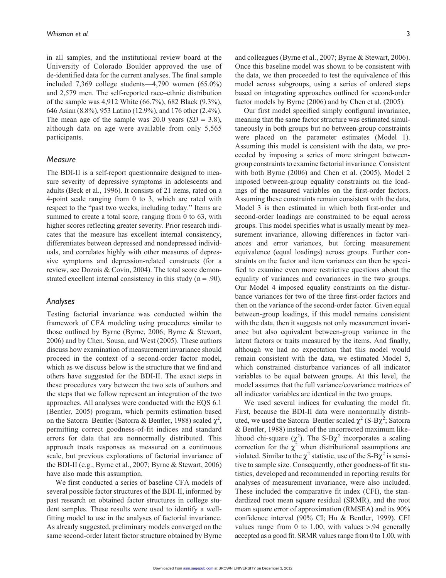in all samples, and the institutional review board at the University of Colorado Boulder approved the use of de-identified data for the current analyses. The final sample included 7,369 college students—4,790 women (65.0%) and 2,579 men. The self-reported race–ethnic distribution of the sample was 4,912 White (66.7%), 682 Black (9.3%), 646 Asian (8.8%), 953 Latino (12.9%), and 176 other (2.4%). The mean age of the sample was  $20.0$  years  $(SD = 3.8)$ , although data on age were available from only 5,565 participants.

## *Measure*

The BDI-II is a self-report questionnaire designed to measure severity of depressive symptoms in adolescents and adults (Beck et al., 1996). It consists of 21 items, rated on a 4-point scale ranging from 0 to 3, which are rated with respect to the "past two weeks, including today." Items are summed to create a total score, ranging from 0 to 63, with higher scores reflecting greater severity. Prior research indicates that the measure has excellent internal consistency, differentiates between depressed and nondepressed individuals, and correlates highly with other measures of depressive symptoms and depression-related constructs (for a review, see Dozois & Covin, 2004). The total score demonstrated excellent internal consistency in this study ( $\alpha = .90$ ).

#### *Analyses*

Testing factorial invariance was conducted within the framework of CFA modeling using procedures similar to those outlined by Byrne (Byrne, 2006; Byrne & Stewart, 2006) and by Chen, Sousa, and West (2005). These authors discuss how examination of measurement invariance should proceed in the context of a second-order factor model, which as we discuss below is the structure that we find and others have suggested for the BDI-II. The exact steps in these procedures vary between the two sets of authors and the steps that we follow represent an integration of the two approaches. All analyses were conducted with the EQS 6.1 (Bentler, 2005) program, which permits estimation based on the Satorra–Bentler (Satorra & Bentler, 1988) scaled  $\chi^2$ , permitting correct goodness-of-fit indices and standard errors for data that are nonnormally distributed. This approach treats responses as measured on a continuous scale, but previous explorations of factorial invariance of the BDI-II (e.g., Byrne et al., 2007; Byrne & Stewart, 2006) have also made this assumption.

We first conducted a series of baseline CFA models of several possible factor structures of the BDI-II, informed by past research on obtained factor structures in college student samples. These results were used to identify a wellfitting model to use in the analyses of factorial invariance. As already suggested, preliminary models converged on the same second-order latent factor structure obtained by Byrne

and colleagues (Byrne et al., 2007; Byrne & Stewart, 2006). Once this baseline model was shown to be consistent with the data, we then proceeded to test the equivalence of this model across subgroups, using a series of ordered steps based on integrating approaches outlined for second-order factor models by Byrne (2006) and by Chen et al. (2005).

Our first model specified simply configural invariance, meaning that the same factor structure was estimated simultaneously in both groups but no between-group constraints were placed on the parameter estimates (Model 1). Assuming this model is consistent with the data, we proceeded by imposing a series of more stringent betweengroup constraints to examine factorial invariance. Consistent with both Byrne (2006) and Chen et al. (2005), Model 2 imposed between-group equality constraints on the loadings of the measured variables on the first-order factors. Assuming these constraints remain consistent with the data, Model 3 is then estimated in which both first-order and second-order loadings are constrained to be equal across groups. This model specifies what is usually meant by measurement invariance, allowing differences in factor variances and error variances, but forcing measurement equivalence (equal loadings) across groups. Further constraints on the factor and item variances can then be specified to examine even more restrictive questions about the equality of variances and covariances in the two groups. Our Model 4 imposed equality constraints on the disturbance variances for two of the three first-order factors and then on the variance of the second-order factor. Given equal between-group loadings, if this model remains consistent with the data, then it suggests not only measurement invariance but also equivalent between-group variance in the latent factors or traits measured by the items. And finally, although we had no expectation that this model would remain consistent with the data, we estimated Model 5, which constrained disturbance variances of all indicator variables to be equal between groups. At this level, the model assumes that the full variance/covariance matrices of all indicator variables are identical in the two groups.

We used several indices for evaluating the model fit. First, because the BDI-II data were nonnormally distributed, we used the Satorra–Bentler scaled  $\chi^2$  (S-B $\chi^2$ ; Satorra & Bentler, 1988) instead of the uncorrected maximum likelihood chi-square  $(\chi^2)$ . The S-B $\chi^2$  incorporates a scaling correction for the  $\chi^2$  when distributional assumptions are violated. Similar to the  $\chi^2$  statistic, use of the S-B $\chi^2$  is sensitive to sample size. Consequently, other goodness-of fit statistics, developed and recommended in reporting results for analyses of measurement invariance, were also included. These included the comparative fit index (CFI), the standardized root mean square residual (SRMR), and the root mean square error of approximation (RMSEA) and its 90% confidence interval (90% CI; Hu & Bentler, 1999). CFI values range from 0 to 1.00, with values >.94 generally accepted as a good fit. SRMR values range from 0 to 1.00, with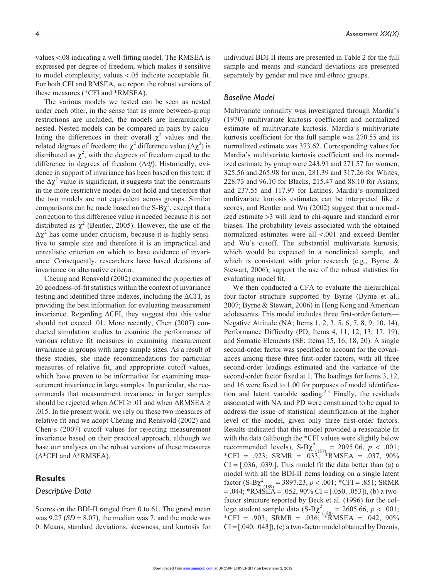values <.08 indicating a well-fitting model. The RMSEA is expressed per degree of freedom, which makes it sensitive to model complexity; values <.05 indicate acceptable fit. For both CFI and RMSEA, we report the robust versions of these measures (\*CFI and \*RMSEA).

The various models we tested can be seen as nested under each other, in the sense that as more between-group restrictions are included, the models are hierarchically nested. Nested models can be compared in pairs by calculating the differences in their overall  $\chi^2$  values and the related degrees of freedom; the  $\chi^2$  difference value  $(\Delta \chi^2)$  is distributed as  $\chi^2$ , with the degrees of freedom equal to the difference in degrees of freedom (∆*df*). Historically, evidence in support of invariance has been based on this test: if the  $\Delta \chi^2$  value is significant, it suggests that the constraints in the more restrictive model do not hold and therefore that the two models are not equivalent across groups. Similar comparisons can be made based on the  $S-B\chi^2$ , except that a correction to this difference value is needed because it is not distributed as  $\chi^2$  (Bentler, 2005). However, the use of the  $\Delta \chi^2$  has come under criticism, because it is highly sensitive to sample size and therefore it is an impractical and unrealistic criterion on which to base evidence of invariance. Consequently, researchers have based decisions of invariance on alternative criteria.

Cheung and Rensvold (2002) examined the properties of 20 goodness-of-fit statistics within the context of invariance testing and identified three indexes, including the ∆CFI, as providing the best information for evaluating measurement invariance. Regarding ∆CFI, they suggest that this value should not exceed .01. More recently, Chen (2007) conducted simulation studies to examine the performance of various relative fit measures in examining measurement invariance in groups with large sample sizes. As a result of these studies, she made recommendations for particular measures of relative fit, and appropriate cutoff values, which have proven to be informative for examining measurement invariance in large samples. In particular, she recommends that measurement invariance in larger samples should be rejected when  $\Delta$ CFI ≥ .01 and when  $\Delta$ RMSEA ≥ .015. In the present work, we rely on these two measures of relative fit and we adopt Cheung and Rensvold (2002) and Chen's (2007) cutoff values for rejecting measurement invariance based on their practical approach, although we base our analyses on the robust versions of these measures (∆\*CFI and ∆\*RMSEA).

## **Results**

#### *Descriptive Data*

Scores on the BDI-II ranged from 0 to 61. The grand mean was  $9.27$  (*SD* = 8.07), the median was 7, and the mode was 0. Means, standard deviations, skewness, and kurtosis for individual BDI-II items are presented in Table 2 for the full sample and means and standard deviations are presented separately by gender and race and ethnic groups.

## *Baseline Model*

Multivariate normality was investigated through Mardia's (1970) multivariate kurtosis coefficient and normalized estimate of multivariate kurtosis. Mardia's multivariate kurtosis coefficient for the full sample was 270.55 and its normalized estimate was 373.62. Corresponding values for Mardia's multivariate kurtosis coefficient and its normalized estimate by group were 243.91 and 271.57 for women, 325.56 and 265.98 for men, 281.39 and 317.26 for Whites, 228.73 and 96.10 for Blacks, 215.47 and 88.10 for Asians, and 237.55 and 117.97 for Latinos. Mardia's normalized multivariate kurtosis estimates can be interpreted like *z* scores, and Bentler and Wu (2002) suggest that a normalized estimate >3 will lead to chi-square and standard error biases. The probability levels associated with the obtained normalized estimates were all <.001 and exceed Bentler and Wu's cutoff. The substantial multivariate kurtosis, which would be expected in a nonclinical sample, and which is consistent with prior research (e.g., Byrne & Stewart, 2006), support the use of the robust statistics for evaluating model fit.

We then conducted a CFA to evaluate the hierarchical four-factor structure supported by Byrne (Byrne et al., 2007; Byrne & Stewart, 2006) in Hong Kong and American adolescents. This model includes three first-order factors— Negative Attitude (NA; Items 1, 2, 3, 5, 6, 7, 8, 9, 10, 14), Performance Difficulty (PD; Items 4, 11, 12, 13, 17, 19), and Somatic Elements (SE; Items 15, 16, 18, 20). A single second-order factor was specified to account for the covariances among these three first-order factors, with all three second-order loadings estimated and the variance of the second-order factor fixed at 1. The loadings for Items 3, 12, and 16 were fixed to 1.00 for purposes of model identification and latent variable scaling.<sup>2,3</sup> Finally, the residuals associated with NA and PD were constrained to be equal to address the issue of statistical identification at the higher level of the model, given only three first-order factors. Results indicated that this model provided a reasonable fit with the data (although the \*CFI values were slightly below recommended levels),  $S-B\chi^2_{(187)} = 2095.06, p < .001;$ \*CFI = .923; SRMR = .033; \*RMSEA = .037, 90%  $CI = [.036, .039.]$ . This model fit the data better than (a) a model with all the BDI-II items loading on a single latent factor  $(S-B\chi^2_{(189)} = 3897.23, p < .001;$  \*CFI = .851; SRMR  $= .044$ ; \*RMSEA =  $.052$ , 90% CI = [ $.050, .053$ ]), (b) a twofactor structure reported by Beck et al. (1996) for the college student sample data  $(S-B\chi^2_{(188)} = 2605.66, p < .001;$ \*CFI = .903; SRMR = .036;  $\angle$ <sup>\*</sup> $\angle$ KMSEA = .042, 90%  $CI = [.040, .043]$ , (c) a two-factor model obtained by Dozois,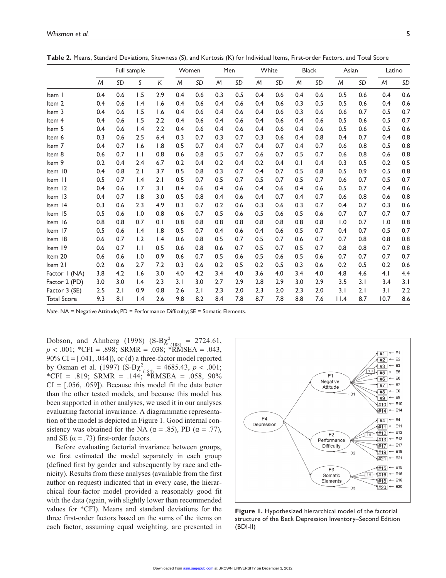|                    | Full sample |     | Women           |                 | Men |     | White |     | <b>Black</b> |     | Asian |     | Latino |     |      |     |
|--------------------|-------------|-----|-----------------|-----------------|-----|-----|-------|-----|--------------|-----|-------|-----|--------|-----|------|-----|
|                    | M           | SD  | S               | K               | M   | SD  | M     | SD  | M            | SD  | M     | SD  | M      | SD  | M    | SD  |
| Item I             | 0.4         | 0.6 | 1.5             | 2.9             | 0.4 | 0.6 | 0.3   | 0.5 | 0.4          | 0.6 | 0.4   | 0.6 | 0.5    | 0.6 | 0.4  | 0.6 |
| Item 2             | 0.4         | 0.6 | $\mathsf{I}$ .4 | 1.6             | 0.4 | 0.6 | 0.4   | 0.6 | 0.4          | 0.6 | 0.3   | 0.5 | 0.5    | 0.6 | 0.4  | 0.6 |
| Item 3             | 0.4         | 0.6 | 1.5             | 1.6             | 0.4 | 0.6 | 0.4   | 0.6 | 0.4          | 0.6 | 0.3   | 0.6 | 0.6    | 0.7 | 0.5  | 0.7 |
| Item 4             | 0.4         | 0.6 | 1.5             | 2.2             | 0.4 | 0.6 | 0.4   | 0.6 | 0.4          | 0.6 | 0.4   | 0.6 | 0.5    | 0.6 | 0.5  | 0.7 |
| Item 5             | 0.4         | 0.6 | $\mathsf{I}$ .4 | 2.2             | 0.4 | 0.6 | 0.4   | 0.6 | 0.4          | 0.6 | 0.4   | 0.6 | 0.5    | 0.6 | 0.5  | 0.6 |
| Item 6             | 0.3         | 0.6 | 2.5             | 6.4             | 0.3 | 0.7 | 0.3   | 0.7 | 0.3          | 0.6 | 0.4   | 0.8 | 0.4    | 0.7 | 0.4  | 0.8 |
| Item 7             | 0.4         | 0.7 | 1.6             | 1.8             | 0.5 | 0.7 | 0.4   | 0.7 | 0.4          | 0.7 | 0.4   | 0.7 | 0.6    | 0.8 | 0.5  | 0.8 |
| Item 8             | 0.6         | 0.7 | $\mathbf{L}$    | 0.8             | 0.6 | 0.8 | 0.5   | 0.7 | 0.6          | 0.7 | 0.5   | 0.7 | 0.6    | 0.8 | 0.6  | 0.8 |
| Item 9             | 0.2         | 0.4 | 2.4             | 6.7             | 0.2 | 0.4 | 0.2   | 0.4 | 0.2          | 0.4 | 0.1   | 0.4 | 0.3    | 0.5 | 0.2  | 0.5 |
| Item 10            | 0.4         | 0.8 | 2.1             | 3.7             | 0.5 | 0.8 | 0.3   | 0.7 | 0.4          | 0.7 | 0.5   | 0.8 | 0.5    | 0.9 | 0.5  | 0.8 |
| Item II            | 0.5         | 0.7 | $\mathsf{I}$ .4 | 2.1             | 0.5 | 0.7 | 0.5   | 0.7 | 0.5          | 0.7 | 0.5   | 0.7 | 0.6    | 0.7 | 0.5  | 0.7 |
| Item 12            | 0.4         | 0.6 | 1.7             | 3.1             | 0.4 | 0.6 | 0.4   | 0.6 | 0.4          | 0.6 | 0.4   | 0.6 | 0.5    | 0.7 | 0.4  | 0.6 |
| Item 13            | 0.4         | 0.7 | 1.8             | 3.0             | 0.5 | 0.8 | 0.4   | 0.6 | 0.4          | 0.7 | 0.4   | 0.7 | 0.6    | 0.8 | 0.6  | 0.8 |
| Item 14            | 0.3         | 0.6 | 2.3             | 4.9             | 0.3 | 0.7 | 0.2   | 0.6 | 0.3          | 0.6 | 0.3   | 0.7 | 0.4    | 0.7 | 0.3  | 0.6 |
| Item 15            | 0.5         | 0.6 | 1.0             | 0.8             | 0.6 | 0.7 | 0.5   | 0.6 | 0.5          | 0.6 | 0.5   | 0.6 | 0.7    | 0.7 | 0.7  | 0.7 |
| Item 16            | 0.8         | 0.8 | 0.7             | 0.1             | 0.8 | 0.8 | 0.8   | 0.8 | 0.8          | 0.8 | 0.8   | 0.8 | 1.0    | 0.7 | 1.0  | 0.8 |
| Item 17            | 0.5         | 0.6 | $\mathsf{I}$ .4 | 1.8             | 0.5 | 0.7 | 0.4   | 0.6 | 0.4          | 0.6 | 0.5   | 0.7 | 0.4    | 0.7 | 0.5  | 0.7 |
| Item 18            | 0.6         | 0.7 | 1.2             | $\mathsf{I}$ .4 | 0.6 | 0.8 | 0.5   | 0.7 | 0.5          | 0.7 | 0.6   | 0.7 | 0.7    | 0.8 | 0.8  | 0.8 |
| Item 19            | 0.6         | 0.7 | $\mathsf{L}$    | 0.5             | 0.6 | 0.8 | 0.6   | 0.7 | 0.5          | 0.7 | 0.5   | 0.7 | 0.8    | 0.8 | 0.7  | 0.8 |
| Item 20            | 0.6         | 0.6 | 1.0             | 0.9             | 0.6 | 0.7 | 0.5   | 0.6 | 0.5          | 0.6 | 0.5   | 0.6 | 0.7    | 0.7 | 0.7  | 0.7 |
| Item 21            | 0.2         | 0.6 | 2.7             | 7.2             | 0.3 | 0.6 | 0.2   | 0.5 | 0.2          | 0.5 | 0.3   | 0.6 | 0.2    | 0.5 | 0.2  | 0.6 |
| Factor I (NA)      | 3.8         | 4.2 | 1.6             | 3.0             | 4.0 | 4.2 | 3.4   | 4.0 | 3.6          | 4.0 | 3.4   | 4.0 | 4.8    | 4.6 | 4.1  | 4.4 |
| Factor 2 (PD)      | 3.0         | 3.0 | $\mathsf{I}$ .4 | 2.3             | 3.1 | 3.0 | 2.7   | 2.9 | 2.8          | 2.9 | 3.0   | 2.9 | 3.5    | 3.1 | 3.4  | 3.1 |
| Factor 3 (SE)      | 2.5         | 2.1 | 0.9             | 0.8             | 2.6 | 2.1 | 2.3   | 2.0 | 2.3          | 2.0 | 2.3   | 2.0 | 3.1    | 2.1 | 3.1  | 2.2 |
| <b>Total Score</b> | 9.3         | 8.1 | 1.4             | 2.6             | 9.8 | 8.2 | 8.4   | 7.8 | 8.7          | 7.8 | 8.8   | 7.6 | 11.4   | 8.7 | 10.7 | 8.6 |

**Table 2.** Means, Standard Deviations, Skewness (S), and Kurtosis (K) for Individual Items, First-order Factors, and Total Score

*Note*. NA = Negative Attitude; PD = Performance Difficulty; SE = Somatic Elements.

Dobson, and Ahnberg (1998)  $(S-B\chi^2_{(188)}) = 2724.61$ , *p* < .001; \*CFI = .898; SRMR = .038; \*RMSEA = .043,  $90\%$  CI = [.041, .044]), or (d) a three-factor model reported by Osman et al. (1997)  $(S-B\chi^2_{(184)} = 4685.43, p < .001;$ \*CFI = .819; SRMR = .144;  $\angle$ \* $\angle$ RMSEA = .058, 90%  $CI = [.056, .059]$ . Because this model fit the data better than the other tested models, and because this model has been supported in other analyses, we used it in our analyses evaluating factorial invariance. A diagrammatic representation of the model is depicted in Figure 1. Good internal consistency was obtained for the NA ( $\alpha$  = .85), PD ( $\alpha$  = .77), and SE ( $\alpha$  = .73) first-order factors.

Before evaluating factorial invariance between groups, we first estimated the model separately in each group (defined first by gender and subsequently by race and ethnicity). Results from these analyses (available from the first author on request) indicated that in every case, the hierarchical four-factor model provided a reasonably good fit with the data (again, with slightly lower than recommended values for \*CFI). Means and standard deviations for the three first-order factors based on the sums of the items on each factor, assuming equal weighting, are presented in



**Figure 1.** Hypothesized hierarchical model of the factorial structure of the Beck Depression Inventory–Second Edition (BDI-II)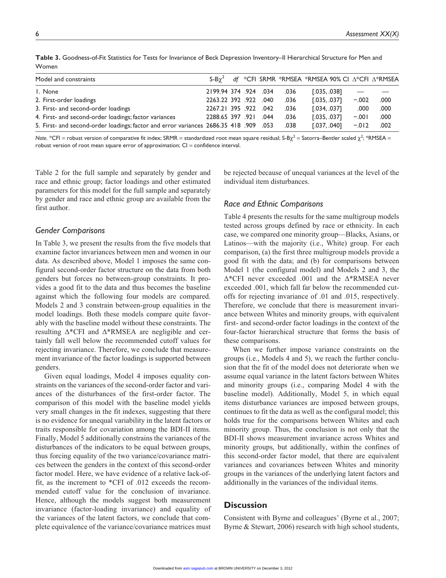| Model and constraints                                                                  | $S-B\gamma^2$         |  |      | df *CFI SRMR *RMSEA *RMSEA 90% CI ∆*CFI ∆*RMSEA |          |      |
|----------------------------------------------------------------------------------------|-----------------------|--|------|-------------------------------------------------|----------|------|
| I. None                                                                                | 2199.94 374 .924 .034 |  | .036 | [.035, .038]                                    |          |      |
| 2. First-order loadings                                                                | 2263.22 392 .922 .040 |  | .036 | [0.035, 0.037]                                  | $-.002$  | .000 |
| 3. First- and second-order loadings                                                    | 2267.21 395 .922 .042 |  | .036 | [.034, .037]                                    | .000     | .000 |
| 4. First- and second-order loadings; factor variances                                  | 2288.65 397 .921 .044 |  | .036 | [.035, .037]                                    | $-.001$  | .000 |
| 53. First- and second-order loadings; factor and error variances 2686.35 418 .909 .053 |                       |  | .038 | [.037, .040]                                    | $-0.012$ | .002 |

**Table 3.** Goodness-of-Fit Statistics for Tests for Invariance of Beck Depression Inventory–II Hierarchical Structure for Men and Women

Note. \*CFI = robust version of comparative fit index; SRMR = standardized root mean square residual; S-Bχ<sup>2</sup> = Satorra–Bentler scaled χ<sup>2</sup>; \*RMSEA = robust version of root mean square error of approximation; CI = confidence interval.

Table 2 for the full sample and separately by gender and race and ethnic group; factor loadings and other estimated parameters for this model for the full sample and separately by gender and race and ethnic group are available from the first author.

## *Gender Comparisons*

In Table 3, we present the results from the five models that examine factor invariances between men and women in our data. As described above, Model 1 imposes the same configural second-order factor structure on the data from both genders but forces no between-group constraints. It provides a good fit to the data and thus becomes the baseline against which the following four models are compared. Models 2 and 3 constrain between-group equalities in the model loadings. Both these models compare quite favorably with the baseline model without these constraints. The resulting ∆\*CFI and ∆\*RMSEA are negligible and certainly fall well below the recommended cutoff values for rejecting invariance. Therefore, we conclude that measurement invariance of the factor loadings is supported between genders.

Given equal loadings, Model 4 imposes equality constraints on the variances of the second-order factor and variances of the disturbances of the first-order factor. The comparison of this model with the baseline model yields very small changes in the fit indexes, suggesting that there is no evidence for unequal variability in the latent factors or traits responsible for covariation among the BDI-II items. Finally, Model 5 additionally constrains the variances of the disturbances of the indicators to be equal between groups, thus forcing equality of the two variance/covariance matrices between the genders in the context of this second-order factor model. Here, we have evidence of a relative lack-offit, as the increment to \*CFI of .012 exceeds the recommended cutoff value for the conclusion of invariance. Hence, although the models suggest both measurement invariance (factor-loading invariance) and equality of the variances of the latent factors, we conclude that complete equivalence of the variance/covariance matrices must

be rejected because of unequal variances at the level of the individual item disturbances.

## *Race and Ethnic Comparisons*

Table 4 presents the results for the same multigroup models tested across groups defined by race or ethnicity. In each case, we compared one minority group—Blacks, Asians, or Latinos—with the majority (i.e., White) group. For each comparison, (a) the first three multigroup models provide a good fit with the data; and (b) for comparisons between Model 1 (the configural model) and Models 2 and 3, the ∆\*CFI never exceeded .001 and the ∆\*RMSEA never exceeded .001, which fall far below the recommended cutoffs for rejecting invariance of .01 and .015, respectively. Therefore, we conclude that there is measurement invariance between Whites and minority groups, with equivalent first- and second-order factor loadings in the context of the four-factor hierarchical structure that forms the basis of these comparisons.

When we further impose variance constraints on the groups (i.e., Models 4 and 5), we reach the further conclusion that the fit of the model does not deteriorate when we assume equal variance in the latent factors between Whites and minority groups (i.e., comparing Model 4 with the baseline model). Additionally, Model 5, in which equal items disturbance variances are imposed between groups, continues to fit the data as well as the configural model; this holds true for the comparisons between Whites and each minority group. Thus, the conclusion is not only that the BDI-II shows measurement invariance across Whites and minority groups, but additionally, within the confines of this second-order factor model, that there are equivalent variances and covariances between Whites and minority groups in the variances of the underlying latent factors and additionally in the variances of the individual items.

## **Discussion**

Consistent with Byrne and colleagues' (Byrne et al., 2007; Byrne & Stewart, 2006) research with high school students,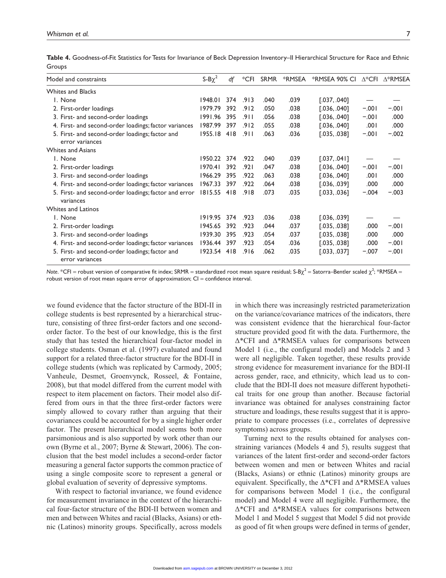| Model and constraints                                              | $S-B\chi^2$ | df  | *CFI | SRMR | *RMSEA | *RMSEA 90% CI |         | $\Delta$ *CFI $\Delta$ *RMSEA |
|--------------------------------------------------------------------|-------------|-----|------|------|--------|---------------|---------|-------------------------------|
| <b>Whites and Blacks</b>                                           |             |     |      |      |        |               |         |                               |
| I. None                                                            | 1948.01     | 374 | .913 | .040 | .039   | [.037, .040]  |         |                               |
| 2. First-order loadings                                            | 1979.79     | 392 | .912 | .050 | .038   | [.036, .040]  | $-.001$ | $-.001$                       |
| 3. First- and second-order loadings                                | 1991.96     | 395 | .911 | .056 | .038   | [.036, .040]  | $-.001$ | .000                          |
| 4. First- and second-order loadings; factor variances              | 1987.99     | 397 | .912 | .055 | .038   | [.036, .040]  | .001    | .000                          |
| 5. First- and second-order loadings; factor and<br>error variances | 1955.18     | 418 | .911 | .063 | .036   | [.035, .038]  | $-.001$ | $-.002$                       |
| <b>Whites and Asians</b>                                           |             |     |      |      |        |               |         |                               |
| I. None                                                            | 1950.22     | 374 | .922 | .040 | .039   | [.037, .041]  |         |                               |
| 2. First-order loadings                                            | 1970.41     | 392 | .921 | .047 | .038   | [.036, .040]  | $-.001$ | $-.001$                       |
| 3. First- and second-order loadings                                | 1966.29     | 395 | .922 | .063 | .038   | [.036, .040]  | .001    | .000                          |
| 4. First- and second-order loadings; factor variances              | 1967.33     | 397 | .922 | .064 | .038   | [.036, .039]  | .000    | .000                          |
| 5. First- and second-order loadings; factor and error<br>variances | 1815.55     | 418 | .918 | .073 | .035   | [.033, .036]  | $-.004$ | $-.003$                       |
| <b>Whites and Latinos</b>                                          |             |     |      |      |        |               |         |                               |
| I. None                                                            | 1919.95     | 374 | .923 | .036 | .038   | [.036, .039]  |         |                               |
| 2. First-order loadings                                            | 1945.65     | 392 | .923 | .044 | .037   | [.035, .038]  | .000    | $-.001$                       |
| 3. First- and second-order loadings                                | 1939.30     | 395 | .923 | .054 | .037   | [.035, .038]  | .000    | .000                          |
| 4. First- and second-order loadings; factor variances              | 1936.44     | 397 | .923 | .054 | .036   | [.035, .038]  | .000    | $-.001$                       |
| 5. First- and second-order loadings; factor and<br>error variances | 1923.54     | 418 | .916 | .062 | .035   | [.033, .037]  | $-.007$ | $-.001$                       |

**Table 4.** Goodness-of-Fit Statistics for Tests for Invariance of Beck Depression Inventory–II Hierarchical Structure for Race and Ethnic Groups

Note. \*CFI = robust version of comparative fit index; SRMR = standardized root mean square residual; S-Bχ<sup>2</sup> = Satorra–Bentler scaled χ<sup>2</sup>; \*RMSEA = robust version of root mean square error of approximation;  $CI =$  confidence interval.

we found evidence that the factor structure of the BDI-II in college students is best represented by a hierarchical structure, consisting of three first-order factors and one secondorder factor. To the best of our knowledge, this is the first study that has tested the hierarchical four-factor model in college students. Osman et al. (1997) evaluated and found support for a related three-factor structure for the BDI-II in college students (which was replicated by Carmody, 2005; Vanheule, Desmet, Groenvynck, Rosseel, & Fontaine, 2008), but that model differed from the current model with respect to item placement on factors. Their model also differed from ours in that the three first-order factors were simply allowed to covary rather than arguing that their covariances could be accounted for by a single higher order factor. The present hierarchical model seems both more parsimonious and is also supported by work other than our own (Byrne et al., 2007; Byrne & Stewart, 2006). The conclusion that the best model includes a second-order factor measuring a general factor supports the common practice of using a single composite score to represent a general or global evaluation of severity of depressive symptoms.

With respect to factorial invariance, we found evidence for measurement invariance in the context of the hierarchical four-factor structure of the BDI-II between women and men and between Whites and racial (Blacks, Asians) or ethnic (Latinos) minority groups. Specifically, across models in which there was increasingly restricted parameterization on the variance/covariance matrices of the indicators, there was consistent evidence that the hierarchical four-factor structure provided good fit with the data. Furthermore, the ∆\*CFI and ∆\*RMSEA values for comparisons between Model 1 (i.e., the configural model) and Models 2 and 3 were all negligible. Taken together, these results provide strong evidence for measurement invariance for the BDI-II across gender, race, and ethnicity, which lead us to conclude that the BDI-II does not measure different hypothetical traits for one group than another. Because factorial invariance was obtained for analyses constraining factor structure and loadings, these results suggest that it is appropriate to compare processes (i.e., correlates of depressive symptoms) across groups.

Turning next to the results obtained for analyses constraining variances (Models 4 and 5), results suggest that variances of the latent first-order and second-order factors between women and men or between Whites and racial (Blacks, Asians) or ethnic (Latinos) minority groups are equivalent. Specifically, the ∆\*CFI and ∆\*RMSEA values for comparisons between Model 1 (i.e., the configural model) and Model 4 were all negligible. Furthermore, the ∆\*CFI and ∆\*RMSEA values for comparisons between Model 1 and Model 5 suggest that Model 5 did not provide as good of fit when groups were defined in terms of gender,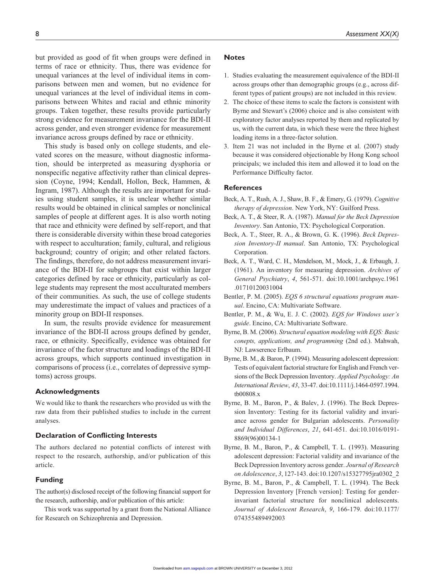but provided as good of fit when groups were defined in terms of race or ethnicity. Thus, there was evidence for unequal variances at the level of individual items in comparisons between men and women, but no evidence for unequal variances at the level of individual items in comparisons between Whites and racial and ethnic minority groups. Taken together, these results provide particularly strong evidence for measurement invariance for the BDI-II across gender, and even stronger evidence for measurement invariance across groups defined by race or ethnicity.

This study is based only on college students, and elevated scores on the measure, without diagnostic information, should be interpreted as measuring dysphoria or nonspecific negative affectivity rather than clinical depression (Coyne, 1994; Kendall, Hollon, Beck, Hammen, & Ingram, 1987). Although the results are important for studies using student samples, it is unclear whether similar results would be obtained in clinical samples or nonclinical samples of people at different ages. It is also worth noting that race and ethnicity were defined by self-report, and that there is considerable diversity within these broad categories with respect to acculturation; family, cultural, and religious background; country of origin; and other related factors. The findings, therefore, do not address measurement invariance of the BDI-II for subgroups that exist within larger categories defined by race or ethnicity, particularly as college students may represent the most acculturated members of their communities. As such, the use of college students may underestimate the impact of values and practices of a minority group on BDI-II responses.

In sum, the results provide evidence for measurement invariance of the BDI-II across groups defined by gender, race, or ethnicity. Specifically, evidence was obtained for invariance of the factor structure and loadings of the BDI-II across groups, which supports continued investigation in comparisons of process (i.e., correlates of depressive symptoms) across groups.

#### **Acknowledgments**

We would like to thank the researchers who provided us with the raw data from their published studies to include in the current analyses.

#### **Declaration of Conflicting Interests**

The authors declared no potential conflicts of interest with respect to the research, authorship, and/or publication of this article.

#### **Funding**

The author(s) disclosed receipt of the following financial support for the research, authorship, and/or publication of this article:

This work was supported by a grant from the National Alliance for Research on Schizophrenia and Depression.

#### **Notes**

- 1. Studies evaluating the measurement equivalence of the BDI-II across groups other than demographic groups (e.g., across different types of patient groups) are not included in this review.
- 2. The choice of these items to scale the factors is consistent with Byrne and Stewart's (2006) choice and is also consistent with exploratory factor analyses reported by them and replicated by us, with the current data, in which these were the three highest loading items in a three-factor solution.
- 3. Item 21 was not included in the Byrne et al. (2007) study because it was considered objectionable by Hong Kong school principals; we included this item and allowed it to load on the Performance Difficulty factor.

#### **References**

- Beck, A. T., Rush, A. J., Shaw, B. F., & Emery, G. (1979). *Cognitive therapy of depression*. New York, NY: Guilford Press.
- Beck, A. T., & Steer, R. A. (1987). *Manual for the Beck Depression Inventory*. San Antonio, TX: Psychological Corporation.
- Beck, A. T., Steer, R. A., & Brown, G. K. (1996). *Beck Depression Inventory-II manual*. San Antonio, TX: Psychological Corporation.
- Beck, A. T., Ward, C. H., Mendelson, M., Mock, J., & Erbaugh, J. (1961). An inventory for measuring depression. *Archives of General Psychiatry*, *4*, 561-571. doi:10.1001/archpsyc.1961 .01710120031004
- Bentler, P. M. (2005). *EQS 6 structural equations program manual*. Encino, CA: Multivariate Software.
- Bentler, P. M., & Wu, E. J. C. (2002). *EQS for Windows user's guide*. Encino, CA: Multivariate Software.
- Byrne, B. M. (2006). *Structural equation modeling with EQS: Basic conepts, applications, and programming* (2nd ed.). Mahwah, NJ: Lawserence Erlbaum.
- Byrne, B. M., & Baron, P. (1994). Measuring adolescent depression: Tests of equivalent factorial structure for English and French versions of the Beck Depression Inventory. *Applied Psychology: An International Review*, *43*, 33-47. doi:10.1111/j.1464-0597.1994. tb00808.x
- Byrne, B. M., Baron, P., & Balev, J. (1996). The Beck Depression Inventory: Testing for its factorial validity and invariance across gender for Bulgarian adolescents. *Personality and Individual Differences*, *21*, 641-651. doi:10.1016/0191- 8869(96)00134-1
- Byrne, B. M., Baron, P., & Campbell, T. L. (1993). Measuring adolescent depression: Factorial validity and invariance of the Beck Depression Inventory across gender. *Journal of Research on Adolescence*, *3*, 127-143. doi:10.1207/s15327795jra0302\_2
- Byrne, B. M., Baron, P., & Campbell, T. L. (1994). The Beck Depression Inventory [French version]: Testing for genderinvariant factorial structure for nonclinical adolescents. *Journal of Adolescent Research*, *9*, 166-179. doi:10.1177/ 074355489492003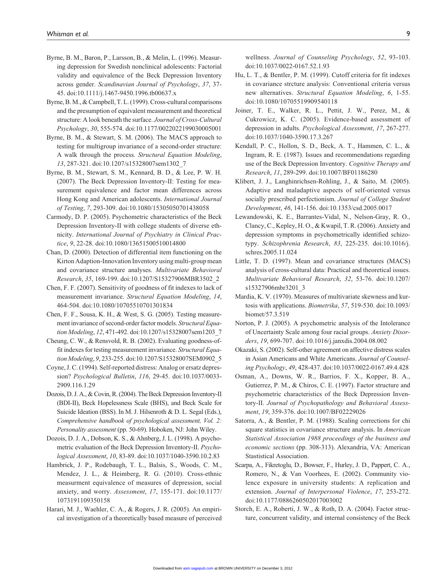- Byrne, B. M., Baron, P., Larsson, B., & Melin, L. (1996). Measuring depression for Swedish nonclinical adolescents: Factorial validity and equivalence of the Beck Depression Inventory across gender. *Scandinavian Journal of Psychology*, *37*, 37- 45. doi:10.1111/j.1467-9450.1996.tb00637.x
- Byrne, B. M., & Campbell, T. L. (1999). Cross-cultural comparisons and the presumption of equivalent measurement and theoretical structure: A look beneath the surface. *Journal of Cross-Cultural Psychology*, *30*, 555-574. doi:10.1177/0022022199030005001
- Byrne, B. M., & Stewart, S. M. (2006). The MACS approach to testing for multigroup invariance of a second-order structure: A walk through the process. *Structural Equation Modeling*, *13*, 287-321. doi:10.1207/s15328007sem1302\_7
- Byrne, B. M., Stewart, S. M., Kennard, B. D., & Lee, P. W. H. (2007). The Beck Depression Inventory-II: Testing for measurement equivalence and factor mean differences across Hong Kong and American adolescents. *International Journal of Testing*, *7*, 293-309. doi:10.1080/15305050701438058
- Carmody, D. P. (2005). Psychometric characteristics of the Beck Depression Inventory-II with college students of diverse ethnicity. *International Journal of Psychiatry in Clinical Practice*, *9*, 22-28. doi:10.1080/13651500510014800
- Chan, D. (2000). Detection of differential item functioning on the Kirton Adaption-Innovation Inventory using multi-group mean and covariance structure analyses. *Multivariate Behavioral Research*, *35*, 169-199. doi:10.1207/S15327906MBR3502\_2
- Chen, F. F. (2007). Sensitivity of goodness of fit indexes to lack of measurement invariance. *Structural Equation Modeling*, *14*, 464-504. doi:10.1080/10705510701301834
- Chen, F. F., Sousa, K. H., & West, S. G. (2005). Testing measurement invariance of second-order factor models. *Structural Equation Modeling*, *12*, 471-492. doi:10.1207/s15328007sem1203\_7
- Cheung, C. W., & Rensvold, R. B. (2002). Evaluating goodness-offit indexes for testing measurement invariance. *Structural Equation Modeling*, *9*, 233-255. doi:10.1207/S15328007SEM0902\_5
- Coyne, J. C. (1994). Self-reported distress: Analog or ersatz depression? *Psychological Bulletin*, *116*, 29-45. doi:10.1037/0033- 2909.116.1.29
- Dozois, D. J. A., & Covin, R. (2004). The Beck Depression Inventory-II (BDI-II), Beck Hopelessness Scale (BHS), and Beck Scale for Suicide Ideation (BSS). In M. J. Hilsenroth & D. L. Segal (Eds.), *Comprehensive handbook of psychological assessment, Vol. 2: Personality assessment* (pp. 50-69). Hoboken, NJ: John Wiley.
- Dozois, D. J. A., Dobson, K. S., & Ahnberg, J. L. (1998). A psychometric evaluation of the Beck Depression Inventory-II. *Psychological Assessment*, *10*, 83-89. doi:10.1037/1040-3590.10.2.83
- Hambrick, J. P., Rodebaugh, T. L., Balsis, S., Woods, C. M., Mendez, J. L., & Heimberg, R. G. (2010). Cross-ethnic measurment equivalence of measures of depression, social anxiety, and worry. *Assessment*, *17*, 155-171. doi:10.1177/ 1073191109350158
- Harari, M. J., Waehler, C. A., & Rogers, J. R. (2005). An empirical investigation of a theoretically based measure of perceived

wellness. *Journal of Counseling Psychology*, *52*, 93-103. doi:10.1037/0022-0167.52.1.93

- Hu, L. T., & Bentler, P. M. (1999). Cutoff criteria for fit indexes in covariance strcture analysis: Conventional criteria versus new alternatives. *Structural Equation Modeling*, *6*, 1-55. doi:10.1080/10705519909540118
- Joiner, T. E., Walker, R. L., Pettit, J. W., Perez, M., & Cukrowicz, K. C. (2005). Evidence-based assessment of depression in adults. *Psychological Assessment*, *17*, 267-277. doi:10.1037/1040-3590.17.3.267
- Kendall, P. C., Hollon, S. D., Beck, A. T., Hammen, C. L., & Ingram, R. E. (1987). Issues and recommendations regarding use of the Beck Depression Inventory. *Cognitive Therapy and Research*, *11*, 289-299. doi:10.1007/BF01186280
- Klibert, J. J., Langhinrichsen-Rohling, J., & Saito, M. (2005). Adaptive and maladaptive aspects of self-oriented versus socially prescribed perfectionism. *Journal of College Student Development*, *46*, 141-156. doi:10.1353/csd.2005.0017
- Lewandowski, K. E., Barrantes-Vidal, N., Nelson-Gray, R. O., Clancy, C., Kepley, H. O., & Kwapil, T. R. (2006). Anxiety and depression symptoms in psychometrically identified schizotypy. *Schizophrenia Research*, *83*, 225-235. doi:10.1016/j. schres.2005.11.024
- Little, T. D. (1997). Mean and covariance structures (MACS) analysis of cross-cultural data: Practical and theoretical issues. *Multivariate Behavioral Research*, *32*, 53-76. doi:10.1207/ s15327906mbr3201\_3
- Mardia, K. V. (1970). Measures of multivariate skewness and kurtosis with applications. *Biometrika*, *57*, 519-530. doi:10.1093/ biomet/57.3.519
- Norton, P. J. (2005). A psychometric analysis of the Intolerance of Uncertainty Scale among four racial groups. *Anxiety Disorders*, *19*, 699-707. doi:10.1016/j.janxdis.2004.08.002
- Okazaki, S. (2002). Self-other agreement on affective distress scales in Asian Americans and White Americans. *Journal of Counseling Psychology*, *49*, 428-437. doi:10.1037/0022-0167.49.4.428
- Osman, A., Downs, W. R., Barrios, F. X., Kopper, B. A., Gutierrez, P. M., & Chiros, C. E. (1997). Factor structure and psychometric characteristics of the Beck Depression Inventory-II. *Journal of Psychopathology and Behavioral Assessment*, *19*, 359-376. doi:10.1007/BF02229026
- Satorra, A., & Bentler, P. M. (1988). Scaling corrections for chi square statistics in covariance structure analysis. In *American Statistical Association 1988 proceedings of the business and economic sections* (pp. 308-313). Alexandria, VA: American Stastistical Association.
- Scarpa, A., Fikretoglu, D., Bowser, F., Hurley, J. D., Pappert, C. A., Romero, N., & Van Voorhees, E. (2002). Community violence exposure in university students: A replication and extension. *Journal of Interpersonal Violence*, *17*, 253-272. doi:10.1177/0886260502017003002
- Storch, E. A., Roberti, J. W., & Roth, D. A. (2004). Factor structure, concurrent validity, and internal consistency of the Beck